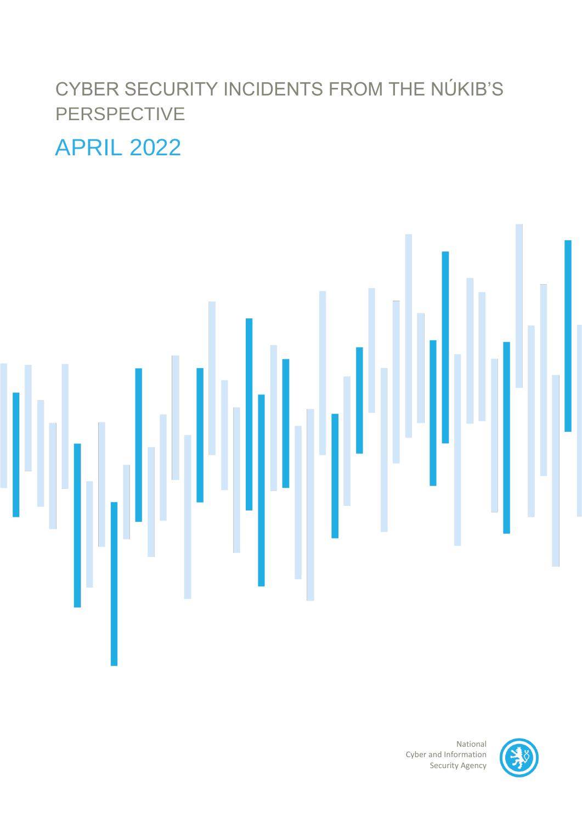# CYBER SECURITY INCIDENTS FROM THE NÚKIB'S PERSPECTIVE

# APRIL 2022



National Cyber and Information Security Agency

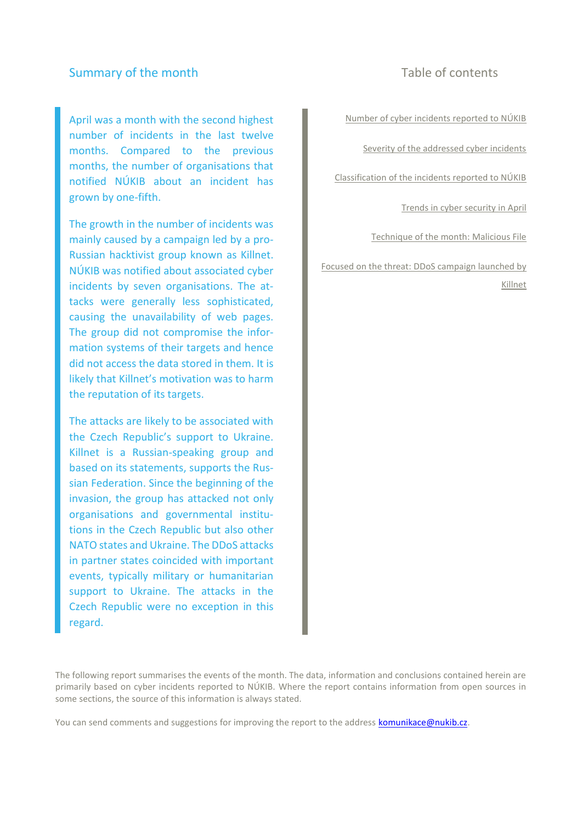## Summary of the month Table of contents

April was a month with the second highest number of incidents in the last twelve months. Compared to the previous months, the number of organisations that notified NÚKIB about an incident has grown by one-fifth.

The growth in the number of incidents was mainly caused by a campaign led by a pro-Russian hacktivist group known as Killnet. NÚKIB was notified about associated cyber incidents by seven organisations. The attacks were generally less sophisticated, causing the unavailability of web pages. The group did not compromise the information systems of their targets and hence did not access the data stored in them. It is likely that Killnet's motivation was to harm the reputation of its targets.

The attacks are likely to be associated with the Czech Republic's support to Ukraine. Killnet is a Russian-speaking group and based on its statements, supports the Russian Federation. Since the beginning of the invasion, the group has attacked not only organisations and governmental institutions in the Czech Republic but also other NATO states and Ukraine. The DDoS attacks in partner states coincided with important events, typically military or humanitarian support to Ukraine. The attacks in the Czech Republic were no exception in this regard.

[Number of cyber incidents reported to NÚKIB](#page-2-0)

[Severity of the addressed cyber incidents](#page-2-1)

[Classification of the incidents reported to NÚKIB](#page-3-0)

[Trends in cyber security in](#page-4-0) April

[Technique of the month:](#page-5-0) [Malicious File](#page-5-0)

[Focused on the threat:](#page-6-0) DDoS campaign launched by Killnet

The following report summarises the events of the month. The data, information and conclusions contained herein are primarily based on cyber incidents reported to NÚKIB. Where the report contains information from open sources in some sections, the source of this information is always stated.

You can send comments and suggestions for improving the report to the address [komunikace@nukib.cz.](mailto:komunikace@nukib.cz)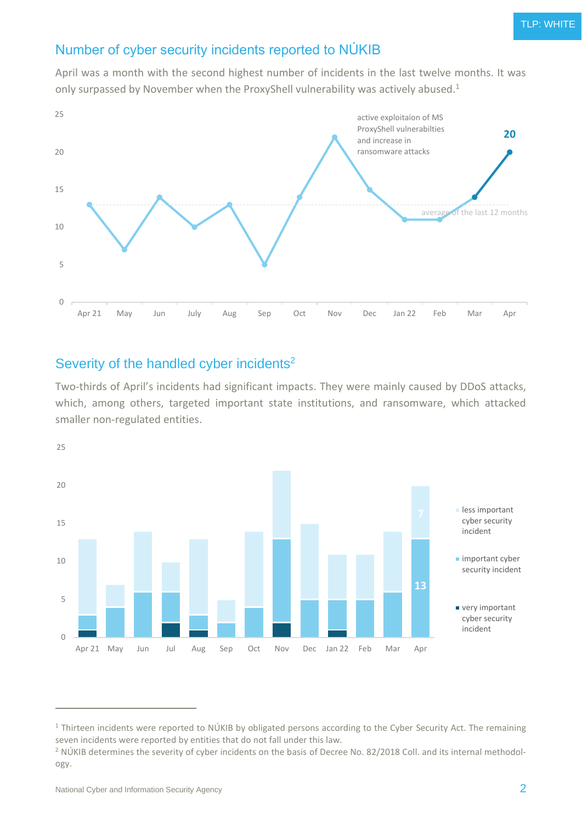# <span id="page-2-0"></span>Number of cyber security incidents reported to NÚKIB

April was a month with the second highest number of incidents in the last twelve months. It was only surpassed by November when the ProxyShell vulnerability was actively abused.<sup>1</sup>



# <span id="page-2-1"></span>Severity of the handled cyber incidents<sup>2</sup>

Two-thirds of April's incidents had significant impacts. They were mainly caused by DDoS attacks, which, among others, targeted important state institutions, and ransomware, which attacked smaller non-regulated entities.



 $1$  Thirteen incidents were reported to NÚKIB by obligated persons according to the Cyber Security Act. The remaining seven incidents were reported by entities that do not fall under this law.

<sup>&</sup>lt;sup>2</sup> NÚKIB determines the severity of cyber incidents on the basis of Decree No. 82/2018 Coll. and its internal methodology.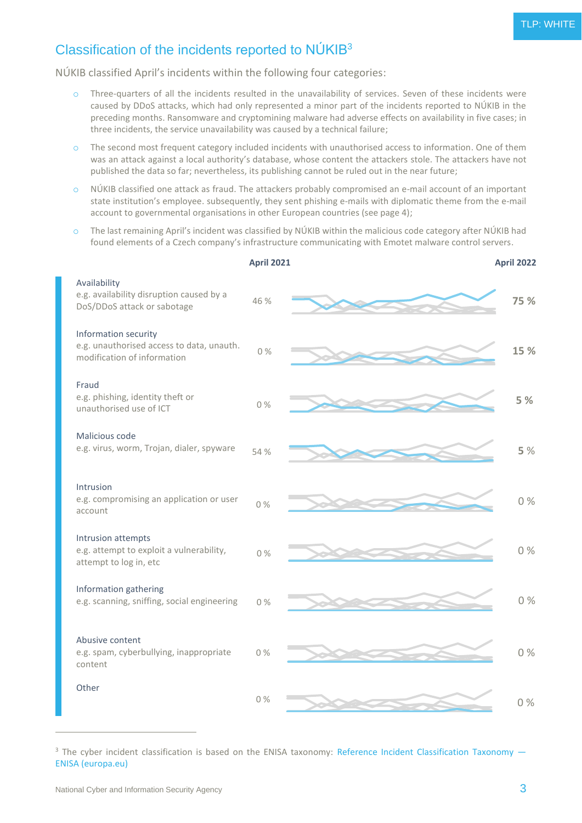# <span id="page-3-0"></span>Classification of the incidents reported to NÚKIB<sup>3</sup>

NÚKIB classified April's incidents within the following four categories:

- o Three-quarters of all the incidents resulted in the unavailability of services. Seven of these incidents were caused by DDoS attacks, which had only represented a minor part of the incidents reported to NÚKIB in the preceding months. Ransomware and cryptomining malware had adverse effects on availability in five cases; in three incidents, the service unavailability was caused by a technical failure;
- $\circ$  The second most frequent category included incidents with unauthorised access to information. One of them was an attack against a local authority's database, whose content the attackers stole. The attackers have not published the data so far; nevertheless, its publishing cannot be ruled out in the near future;
- o NÚKIB classified one attack as fraud. The attackers probably compromised an e-mail account of an important state institution's employee. subsequently, they sent phishing e-mails with diplomatic theme from the e-mail account to governmental organisations in other European countries (see page 4);
- o The last remaining April's incident was classified by NÚKIB within the malicious code category after NÚKIB had found elements of a Czech company's infrastructure communicating with Emotet malware control servers.



 $3$  The cyber incident classification is based on the ENISA taxonomy: [Reference Incident Classification Taxonomy](https://www.enisa.europa.eu/publications/reference-incident-classification-taxonomy)  $-$ ENISA [\(europa.eu\)](https://www.enisa.europa.eu/publications/reference-incident-classification-taxonomy)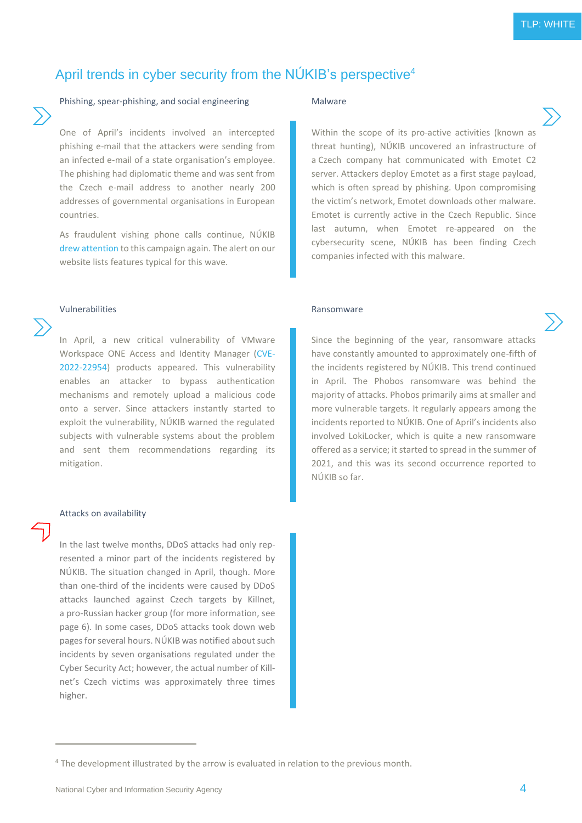# <span id="page-4-0"></span>April trends in cyber security from the NÚKIB's perspective<sup>4</sup>

## Phishing, spear-phishing, and social engineering Malware

One of April's incidents involved an intercepted phishing e-mail that the attackers were sending from an infected e-mail of a state organisation's employee. The phishing had diplomatic theme and was sent from the Czech e-mail address to another nearly 200 addresses of governmental organisations in European countries.

As fraudulent vishing phone calls continue, NÚKIB [drew attention](https://www.nukib.cz/cs/infoservis/hrozby/1830-upozornujeme-na-stale-trvajici-kampan-podvodnych-vishingovych-telefonatu/) to this campaign again. The alert on our website lists features typical for this wave.

### Vulnerabilities **Ransomware** Ransomware

In April, a new critical vulnerability of VMware Workspace ONE Access and Identity Manager [\(CVE-](https://nvd.nist.gov/vuln/detail/CVE-2022-22954)[2022-22954\)](https://nvd.nist.gov/vuln/detail/CVE-2022-22954) products appeared. This vulnerability enables an attacker to bypass authentication mechanisms and remotely upload a malicious code onto a server. Since attackers instantly started to exploit the vulnerability, NÚKIB warned the regulated subjects with vulnerable systems about the problem and sent them recommendations regarding its mitigation.

### Attacks on availability

In the last twelve months, DDoS attacks had only represented a minor part of the incidents registered by NÚKIB. The situation changed in April, though. More than one-third of the incidents were caused by DDoS attacks launched against Czech targets by Killnet, a pro-Russian hacker group (for more information, see page 6). In some cases, DDoS attacks took down web pages for several hours. NÚKIB was notified about such incidents by seven organisations regulated under the Cyber Security Act; however, the actual number of Killnet's Czech victims was approximately three times higher.

Within the scope of its pro-active activities (known as threat hunting), NÚKIB uncovered an infrastructure of a Czech company hat communicated with Emotet C2 server. Attackers deploy Emotet as a first stage payload, which is often spread by phishing. Upon compromising the victim's network, Emotet downloads other malware. Emotet is currently active in the Czech Republic. Since last autumn, when Emotet re-appeared on the cybersecurity scene, NÚKIB has been finding Czech companies infected with this malware.

Since the beginning of the year, ransomware attacks have constantly amounted to approximately one-fifth of the incidents registered by NÚKIB. This trend continued in April. The Phobos ransomware was behind the majority of attacks. Phobos primarily aims at smaller and more vulnerable targets. It regularly appears among the incidents reported to NÚKIB. One of April's incidents also involved LokiLocker, which is quite a new ransomware offered as a service; it started to spread in the summer of 2021, and this was its second occurrence reported to NÚKIB so far.

<sup>4</sup> The development illustrated by the arrow is evaluated in relation to the previous month.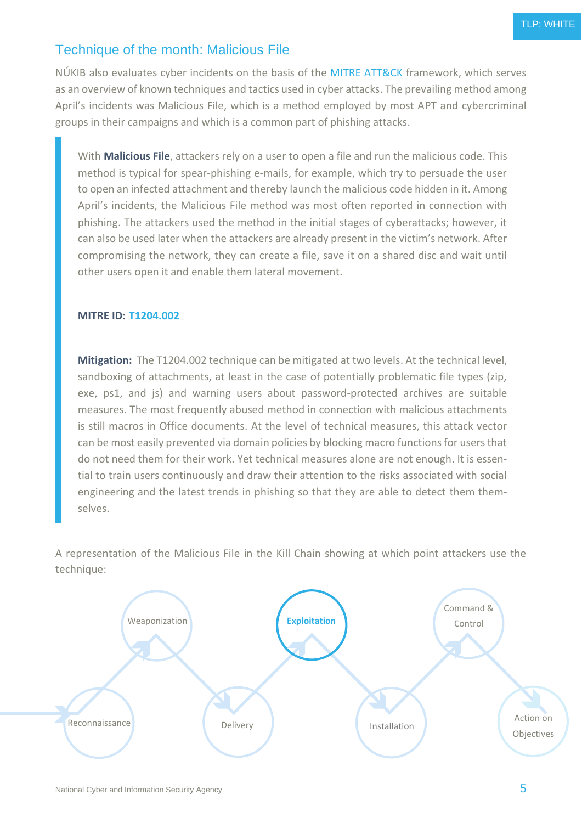# <span id="page-5-0"></span>Technique of the month: Malicious File

NÚKIB also evaluates cyber incidents on the basis of the [MITRE ATT&CK](https://attack.mitre.org/) framework, which serves as an overview of known techniques and tactics used in cyber attacks. The prevailing method among April's incidents was Malicious File, which is a method employed by most APT and cybercriminal groups in their campaigns and which is a common part of phishing attacks.

With **Malicious File**, attackers rely on a user to open a file and run the malicious code. This method is typical for spear-phishing e-mails, for example, which try to persuade the user to open an infected attachment and thereby launch the malicious code hidden in it. Among April's incidents, the Malicious File method was most often reported in connection with phishing. The attackers used the method in the initial stages of cyberattacks; however, it can also be used later when the attackers are already present in the victim's network. After compromising the network, they can create a file, save it on a shared disc and wait until other users open it and enable them lateral movement.

### **MITRE ID: [T1204.002](https://attack.mitre.org/techniques/T1204/002/)**

**Mitigation:** The T1204.002 technique can be mitigated at two levels. At the technical level, sandboxing of attachments, at least in the case of potentially problematic file types (zip, exe, ps1, and js) and warning users about password-protected archives are suitable measures. The most frequently abused method in connection with malicious attachments is still macros in Office documents. At the level of technical measures, this attack vector can be most easily prevented via domain policies by blocking macro functions for users that do not need them for their work. Yet technical measures alone are not enough. It is essential to train users continuously and draw their attention to the risks associated with social engineering and the latest trends in phishing so that they are able to detect them themselves.

A representation of the Malicious File in the Kill Chain showing at which point attackers use the technique:

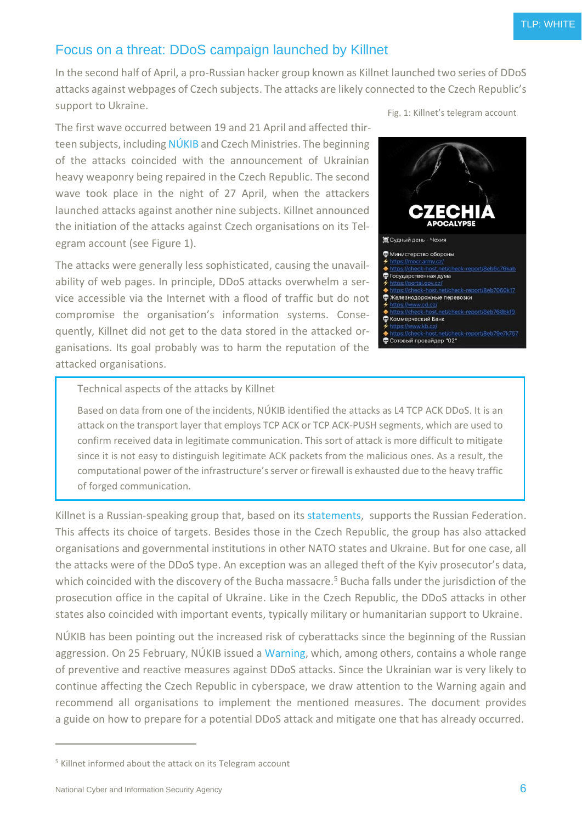# Focus on a threat: DDoS campaign launched by Killnet

<span id="page-6-0"></span>In the second half of April, a pro-Russian hacker group known as Killnet launched two series of DDoS attacks against webpages of Czech subjects. The attacks are likely connected to the Czech Republic's support to Ukraine. Fig. 1: Killnet's telegram account

The first wave occurred between 19 and 21 April and affected thir-teen subjects, including [NÚKIB](https://twitter.com/NUKIB_CZ/status/1516865189244809223?cxt=HHwWjsC9kcu2_owqAAAA) and Czech Ministries. The beginning of the attacks coincided with the announcement of Ukrainian heavy weaponry being repaired in the Czech Republic. The second wave took place in the night of 27 April, when the attackers launched attacks against another nine subjects. Killnet announced the initiation of the attacks against Czech organisations on its Telegram account (see Figure 1).

The attacks were generally less sophisticated, causing the unavailability of web pages. In principle, DDoS attacks overwhelm a service accessible via the Internet with a flood of traffic but do not compromise the organisation's information systems. Consequently, Killnet did not get to the data stored in the attacked organisations. Its goal probably was to harm the reputation of the attacked organisations.



Technical aspects of the attacks by Killnet

Based on data from one of the incidents, NÚKIB identified the attacks as L4 TCP ACK DDoS. It is an attack on the transport layer that employs TCP ACK or TCP ACK-PUSH segments, which are used to confirm received data in legitimate communication. This sort of attack is more difficult to mitigate since it is not easy to distinguish legitimate ACK packets from the malicious ones. As a result, the computational power of the infrastructure's server or firewall is exhausted due to the heavy traffic of forged communication.

Killnet is a Russian-speaking group that, based on its [statements,](https://therecord.media/russia-or-ukraine-hacking-groups-take-sides/?msclkid=235244a7ba6611ec92f21c9bd3b8ee49) supports the Russian Federation. This affects its choice of targets. Besides those in the Czech Republic, the group has also attacked organisations and governmental institutions in other NATO states and Ukraine. But for one case, all the attacks were of the DDoS type. An exception was an alleged theft of the Kyiv prosecutor's data, which coincided with the discovery of the Bucha massacre. <sup>5</sup> Bucha falls under the jurisdiction of the prosecution office in the capital of Ukraine. Like in the Czech Republic, the DDoS attacks in other states also coincided with important events, typically military or humanitarian support to Ukraine.

NÚKIB has been pointing out the increased risk of cyberattacks since the beginning of the Russian aggression. On 25 February, NÚKIB issued a [Warning,](file:///C:/Users/001425/Downloads/2022-02-25_varovani-final%20(2).pdf) which, among others, contains a whole range of preventive and reactive measures against DDoS attacks. Since the Ukrainian war is very likely to continue affecting the Czech Republic in cyberspace, we draw attention to the Warning again and recommend all organisations to implement the mentioned measures. The document provides a guide on how to prepare for a potential DDoS attack and mitigate one that has already occurred.

<sup>5</sup> Killnet informed about the attack on its Telegram account